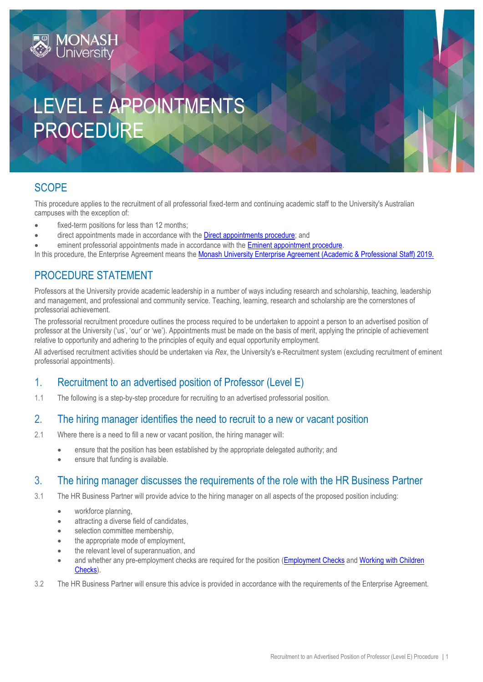# LEVEL E APPOINTMENTS PROCEDURE

# **SCOPE**

This procedure applies to the recruitment of all professorial fixed-term and continuing academic staff to the University's Australian campuses with the exception of:

- fixed-term positions for less than 12 months;
- direct appointments made in accordance with the **Direct appointments procedure**; and
- eminent professorial appointments made in accordance with the [Eminent appointment procedure.](https://publicpolicydms.monash.edu/Monash/documents/1935653)

In this procedure, the Enterprise Agreement means the [Monash University Enterprise Agreement \(Academic & Professional Staff\) 2019.](https://www.monash.edu/current-enterprise-agreements/academic-professional-2019)

# PROCEDURE STATEMENT

Professors at the University provide academic leadership in a number of ways including research and scholarship, teaching, leadership and management, and professional and community service. Teaching, learning, research and scholarship are the cornerstones of professorial achievement.

The professorial recruitment procedure outlines the process required to be undertaken to appoint a person to an advertised position of professor at the University ('us', 'our' or 'we'). Appointments must be made on the basis of merit, applying the principle of achievement relative to opportunity and adhering to the principles of equity and equal opportunity employment.

All advertised recruitment activities should be undertaken via *Rex*, the University's e-Recruitment system (excluding recruitment of eminent professorial appointments).

## 1. Recruitment to an advertised position of Professor (Level E)

1.1 The following is a step-by-step procedure for recruiting to an advertised professorial position.

#### 2. The hiring manager identifies the need to recruit to a new or vacant position

- 2.1 Where there is a need to fill a new or vacant position, the hiring manager will:
	- ensure that the position has been established by the appropriate delegated authority; and
	- ensure that funding is available.

## 3. The hiring manager discusses the requirements of the role with the HR Business Partner

- 3.1 The HR Business Partner will provide advice to the hiring manager on all aspects of the proposed position including:
	- workforce planning,
	- attracting a diverse field of candidates,
	- selection committee membership,
	- the appropriate mode of employment,
	- the relevant level of superannuation, and
	- and whether any pre-employment checks are required for the position [\(Employment](https://publicpolicydms.monash.edu/Monash/documents/1935679) Checks an[d Working with Children](https://publicpolicydms.monash.edu/Monash/documents/1935742)  [Checks\)](https://publicpolicydms.monash.edu/Monash/documents/1935742).
- 3.2 The HR Business Partner will ensure this advice is provided in accordance with the requirements of the Enterprise Agreement.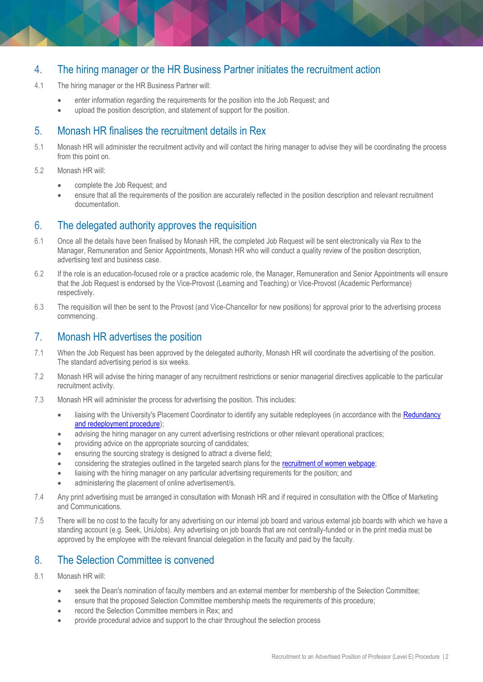## 4. The hiring manager or the HR Business Partner initiates the recruitment action

- 4.1 The hiring manager or the HR Business Partner will:
	- enter information regarding the requirements for the position into the Job Request; and
	- upload the position description, and statement of support for the position.

### 5. Monash HR finalises the recruitment details in Rex

- 5.1 Monash HR will administer the recruitment activity and will contact the hiring manager to advise they will be coordinating the process from this point on.
- 5.2 Monash HR will:
	- complete the Job Request; and
	- ensure that all the requirements of the position are accurately reflected in the position description and relevant recruitment documentation.

#### 6. The delegated authority approves the requisition

- 6.1 Once all the details have been finalised by Monash HR, the completed Job Request will be sent electronically via Rex to the Manager, Remuneration and Senior Appointments, Monash HR who will conduct a quality review of the position description, advertising text and business case.
- 6.2 If the role is an education-focused role or a practice academic role, the Manager, Remuneration and Senior Appointments will ensure that the Job Request is endorsed by the Vice-Provost (Learning and Teaching) or Vice-Provost (Academic Performance) respectively.
- 6.3 The requisition will then be sent to the Provost (and Vice-Chancellor for new positions) for approval prior to the advertising process commencing.

## 7. Monash HR advertises the position

- 7.1 When the Job Request has been approved by the delegated authority, Monash HR will coordinate the advertising of the position. The standard advertising period is six weeks.
- 7.2 Monash HR will advise the hiring manager of any recruitment restrictions or senior managerial directives applicable to the particular recruitment activity.
- 7.3 Monash HR will administer the process for advertising the position. This includes:
	- liaising with the University's Placement Coordinator to identify any suitable redeployees (in accordance with the Redundancy [and redeployment procedure\)](https://publicpolicydms.monash.edu/Monash/documents/1935728);
	- advising the hiring manager on any current advertising restrictions or other relevant operational practices;
	- providing advice on the appropriate sourcing of candidates;
	- ensuring the sourcing strategy is designed to attract a diverse field;
	- considering the strategies outlined in the targeted search plans for the [recruitment of women webpage;](http://www.adm.monash.edu.au/workplace-policy/gender-equity/women/search-plans-for-recruiting-women.html)
	- liaising with the hiring manager on any particular advertising requirements for the position; and
	- administering the placement of online advertisement/s.
- 7.4 Any print advertising must be arranged in consultation with Monash HR and if required in consultation with the Office of Marketing and Communications.
- 7.5 There will be no cost to the faculty for any advertising on our internal job board and various external job boards with which we have a standing account (e.g. Seek, UniJobs). Any advertising on job boards that are not centrally-funded or in the print media must be approved by the employee with the relevant financial delegation in the faculty and paid by the faculty.

## 8. The Selection Committee is convened

- 8.1 Monash HR will:
	- seek the Dean's nomination of faculty members and an external member for membership of the Selection Committee;
	- ensure that the proposed Selection Committee membership meets the requirements of this procedure;
	- record the Selection Committee members in Rex; and
	- provide procedural advice and support to the chair throughout the selection process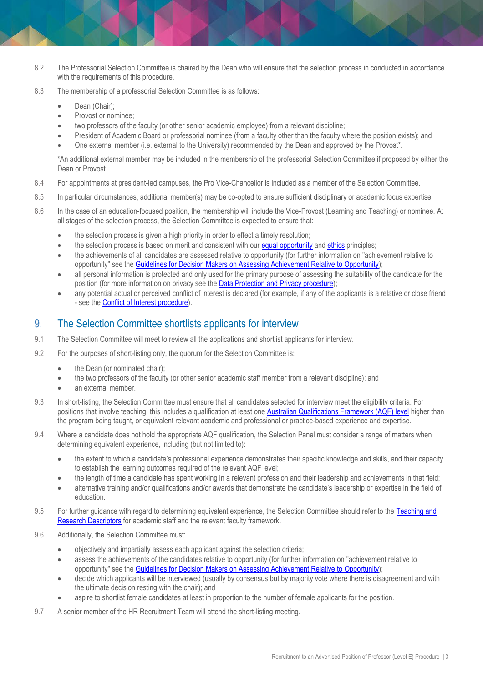- 8.2 The Professorial Selection Committee is chaired by the Dean who will ensure that the selection process in conducted in accordance with the requirements of this procedure.
- 8.3 The membership of a professorial Selection Committee is as follows:
	- Dean (Chair);
	- Provost or nominee;
	- two professors of the faculty (or other senior academic employee) from a relevant discipline;
	- President of Academic Board or professorial nominee (from a faculty other than the faculty where the position exists); and
	- One external member (i.e. external to the University) recommended by the Dean and approved by the Provost\*.

\*An additional external member may be included in the membership of the professorial Selection Committee if proposed by either the Dean or Provost

- 8.4 For appointments at president-led campuses, the Pro Vice-Chancellor is included as a member of the Selection Committee.
- 8.5 In particular circumstances, additional member(s) may be co-opted to ensure sufficient disciplinary or academic focus expertise.
- 8.6 In the case of an education-focused position, the membership will include the Vice-Provost (Learning and Teaching) or nominee. At all stages of the selection process, the Selection Committee is expected to ensure that:
	- the selection process is given a high priority in order to effect a timely resolution;
	- the selection process is based on merit and consistent with our [equal opportunity](https://publicpolicydms.monash.edu/Monash/documents/1935682) and [ethics](https://publicpolicydms.monash.edu/Monash/documents/1935683) principles;
	- the achievements of all candidates are assessed relative to opportunity (for further information on "achievement relative to opportunity" see the **Guidelines for Decision Makers on Assessing Achievement Relative to Opportunity**);
	- all personal information is protected and only used for the primary purpose of assessing the suitability of the candidate for the position (for more information on privacy see the [Data Protection and Privacy procedure\)](https://publicpolicydms.monash.edu/Monash/documents/1909233);
	- any potential actual or perceived conflict of interest is declared (for example, if any of the applicants is a relative or close friend - see the [Conflict of Interest procedure\)](https://publicpolicydms.monash.edu/Monash/documents/1935671).

#### 9. The Selection Committee shortlists applicants for interview

- 9.1 The Selection Committee will meet to review all the applications and shortlist applicants for interview.
- 9.2 For the purposes of short-listing only, the quorum for the Selection Committee is:
	- the Dean (or nominated chair);
	- the two professors of the faculty (or other senior academic staff member from a relevant discipline); and
	- an external member.
- 9.3 In short-listing, the Selection Committee must ensure that all candidates selected for interview meet the eligibility criteria. For positions that involve teaching, this includes a qualification at least one [Australian Qualifications Framework \(AQF\) level](https://www.aqf.edu.au/aqf-levels) higher than the program being taught, or equivalent relevant academic and professional or practice-based experience and expertise.
- 9.4 Where a candidate does not hold the appropriate AQF qualification, the Selection Panel must consider a range of matters when determining equivalent experience, including (but not limited to):
	- the extent to which a candidate's professional experience demonstrates their specific knowledge and skills, and their capacity to establish the learning outcomes required of the relevant AQF level;
	- the length of time a candidate has spent working in a relevant profession and their leadership and achievements in that field;
	- alternative training and/or qualifications and/or awards that demonstrate the candidate's leadership or expertise in the field of education.
- 9.5 For further guidance with regard to determining equivalent experience, the Selection Committee should refer to the Teaching and [Research Descriptors](http://www.adm.monash.edu.au/workplace-policy/recruitment/categories/academic/teaching-research/index.html) for academic staff and the relevant faculty framework.
- 9.6 Additionally, the Selection Committee must:
	- objectively and impartially assess each applicant against the selection criteria;
	- assess the achievements of the candidates relative to opportunity (for further information on "achievement relative to opportunity" see the [Guidelines for Decision Makers on Assessing Achievement Relative to Opportunity\)](http://www.adm.monash.edu.au/human-resources/gender-equity/eofw/achievement-relative-to-opportunity.html);
	- decide which applicants will be interviewed (usually by consensus but by majority vote where there is disagreement and with the ultimate decision resting with the chair); and
	- aspire to shortlist female candidates at least in proportion to the number of female applicants for the position.
- 9.7 A senior member of the HR Recruitment Team will attend the short-listing meeting.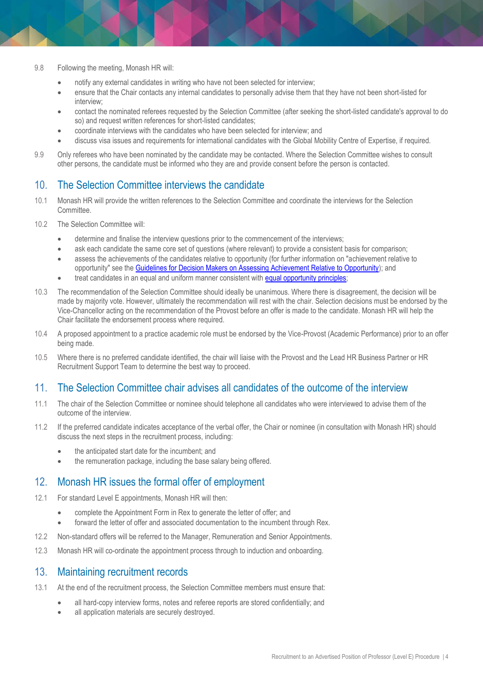- 9.8 Following the meeting, Monash HR will:
	- notify any external candidates in writing who have not been selected for interview;
	- ensure that the Chair contacts any internal candidates to personally advise them that they have not been short-listed for interview;
	- contact the nominated referees requested by the Selection Committee (after seeking the short-listed candidate's approval to do so) and request written references for short-listed candidates;
	- coordinate interviews with the candidates who have been selected for interview; and
	- discuss visa issues and requirements for international candidates with the Global Mobility Centre of Expertise, if required.
- 9.9 Only referees who have been nominated by the candidate may be contacted. Where the Selection Committee wishes to consult other persons, the candidate must be informed who they are and provide consent before the person is contacted.

#### 10. The Selection Committee interviews the candidate

- 10.1 Monash HR will provide the written references to the Selection Committee and coordinate the interviews for the Selection Committee.
- 10.2 The Selection Committee will:
	- determine and finalise the interview questions prior to the commencement of the interviews;
	- ask each candidate the same core set of questions (where relevant) to provide a consistent basis for comparison;
	- assess the achievements of the candidates relative to opportunity (for further information on "achievement relative to opportunity" see the [Guidelines for Decision Makers on Assessing Achievement Relative to Opportunity\)](http://www.adm.monash.edu.au/human-resources/gender-equity/eofw/achievement-relative-to-opportunity.html); and
	- treat candidates in an equal and uniform manner consistent with [equal opportunity principles;](https://publicpolicydms.monash.edu/Monash/documents/1935682)
- 10.3 The recommendation of the Selection Committee should ideally be unanimous. Where there is disagreement, the decision will be made by majority vote. However, ultimately the recommendation will rest with the chair. Selection decisions must be endorsed by the Vice-Chancellor acting on the recommendation of the Provost before an offer is made to the candidate. Monash HR will help the Chair facilitate the endorsement process where required.
- 10.4 A proposed appointment to a practice academic role must be endorsed by the Vice-Provost (Academic Performance) prior to an offer being made.
- 10.5 Where there is no preferred candidate identified, the chair will liaise with the Provost and the Lead HR Business Partner or HR Recruitment Support Team to determine the best way to proceed.

#### 11. The Selection Committee chair advises all candidates of the outcome of the interview

- 11.1 The chair of the Selection Committee or nominee should telephone all candidates who were interviewed to advise them of the outcome of the interview.
- 11.2 If the preferred candidate indicates acceptance of the verbal offer, the Chair or nominee (in consultation with Monash HR) should discuss the next steps in the recruitment process, including:
	- the anticipated start date for the incumbent; and
	- the remuneration package, including the base salary being offered.

#### 12. Monash HR issues the formal offer of employment

- 12.1 For standard Level E appointments, Monash HR will then:
	- complete the Appointment Form in Rex to generate the letter of offer; and
	- forward the letter of offer and associated documentation to the incumbent through Rex.
- 12.2 Non-standard offers will be referred to the Manager, Remuneration and Senior Appointments.
- 12.3 Monash HR will co-ordinate the appointment process through to induction and onboarding.

#### 13. Maintaining recruitment records

- 13.1 At the end of the recruitment process, the Selection Committee members must ensure that:
	- all hard-copy interview forms, notes and referee reports are stored confidentially; and
	- all application materials are securely destroyed.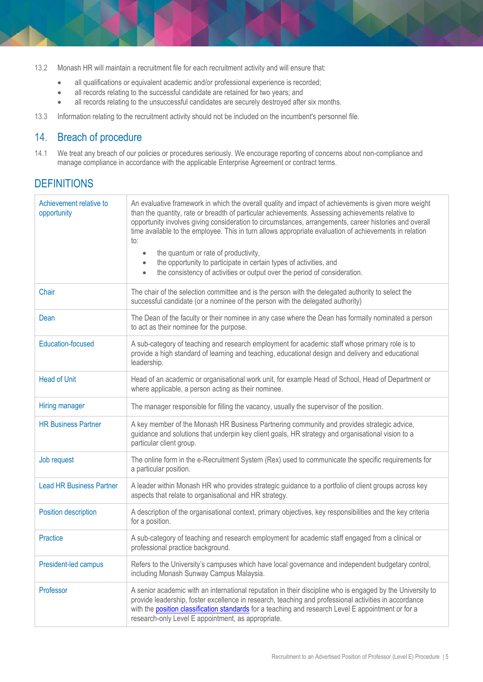- 13.2 Monash HR will maintain a recruitment file for each recruitment activity and will ensure that:
	- all qualifications or equivalent academic and/or professional experience is recorded;
	- all records relating to the successful candidate are retained for two years; and
	- all records relating to the unsuccessful candidates are securely destroyed after six months.
- 13.3 Information relating to the recruitment activity should not be included on the incumbent's personnel file.

## 14. Breach of procedure

14.1 We treat any breach of our policies or procedures seriously. We encourage reporting of concerns about non-compliance and manage compliance in accordance with the applicable Enterprise Agreement or contract terms.

## **DEFINITIONS**

| Achievement relative to<br>opportunity | An evaluative framework in which the overall quality and impact of achievements is given more weight<br>than the quantity, rate or breadth of particular achievements. Assessing achievements relative to<br>opportunity involves giving consideration to circumstances, arrangements, career histories and overall<br>time available to the employee. This in turn allows appropriate evaluation of achievements in relation<br>to:<br>the quantum or rate of productivity,<br>$\bullet$<br>the opportunity to participate in certain types of activities, and<br>$\bullet$<br>the consistency of activities or output over the period of consideration.<br>$\bullet$ |
|----------------------------------------|------------------------------------------------------------------------------------------------------------------------------------------------------------------------------------------------------------------------------------------------------------------------------------------------------------------------------------------------------------------------------------------------------------------------------------------------------------------------------------------------------------------------------------------------------------------------------------------------------------------------------------------------------------------------|
| Chair                                  | The chair of the selection committee and is the person with the delegated authority to select the<br>successful candidate (or a nominee of the person with the delegated authority)                                                                                                                                                                                                                                                                                                                                                                                                                                                                                    |
| Dean                                   | The Dean of the faculty or their nominee in any case where the Dean has formally nominated a person<br>to act as their nominee for the purpose.                                                                                                                                                                                                                                                                                                                                                                                                                                                                                                                        |
| <b>Education-focused</b>               | A sub-category of teaching and research employment for academic staff whose primary role is to<br>provide a high standard of learning and teaching, educational design and delivery and educational<br>leadership.                                                                                                                                                                                                                                                                                                                                                                                                                                                     |
| <b>Head of Unit</b>                    | Head of an academic or organisational work unit, for example Head of School, Head of Department or<br>where applicable, a person acting as their nominee.                                                                                                                                                                                                                                                                                                                                                                                                                                                                                                              |
| Hiring manager                         | The manager responsible for filling the vacancy, usually the supervisor of the position.                                                                                                                                                                                                                                                                                                                                                                                                                                                                                                                                                                               |
| <b>HR Business Partner</b>             | A key member of the Monash HR Business Partnering community and provides strategic advice,<br>guidance and solutions that underpin key client goals, HR strategy and organisational vision to a<br>particular client group.                                                                                                                                                                                                                                                                                                                                                                                                                                            |
| Job request                            | The online form in the e-Recruitment System (Rex) used to communicate the specific requirements for<br>a particular position.                                                                                                                                                                                                                                                                                                                                                                                                                                                                                                                                          |
| <b>Lead HR Business Partner</b>        | A leader within Monash HR who provides strategic guidance to a portfolio of client groups across key<br>aspects that relate to organisational and HR strategy.                                                                                                                                                                                                                                                                                                                                                                                                                                                                                                         |
| Position description                   | A description of the organisational context, primary objectives, key responsibilities and the key criteria<br>for a position.                                                                                                                                                                                                                                                                                                                                                                                                                                                                                                                                          |
| <b>Practice</b>                        | A sub-category of teaching and research employment for academic staff engaged from a clinical or<br>professional practice background.                                                                                                                                                                                                                                                                                                                                                                                                                                                                                                                                  |
| President-led campus                   | Refers to the University's campuses which have local governance and independent budgetary control,<br>including Monash Sunway Campus Malaysia.                                                                                                                                                                                                                                                                                                                                                                                                                                                                                                                         |
| Professor                              | A senior academic with an international reputation in their discipline who is engaged by the University to<br>provide leadership, foster excellence in research, teaching and professional activities in accordance<br>with the position classification standards for a teaching and research Level E appointment or for a<br>research-only Level E appointment, as appropriate.                                                                                                                                                                                                                                                                                       |